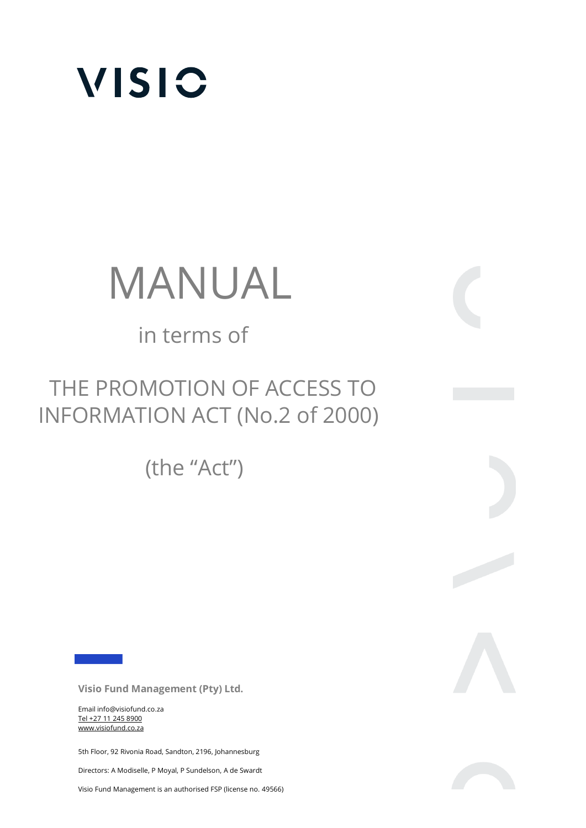

# MANUAL

# in terms of

# THE PROMOTION OF ACCESS TO INFORMATION ACT (No.2 of 2000)

(the "Act")

**Visio Fund Management (Pty) Ltd.** 

Email info@visiofund.co.za Tel +27 11 245 8900 www.visiofund.co.za

5th Floor, 92 Rivonia Road, Sandton, 2196, Johannesburg

Directors: A Modiselle, P Moyal, P Sundelson, A de Swardt

Visio Fund Management is an authorised FSP (license no. 49566)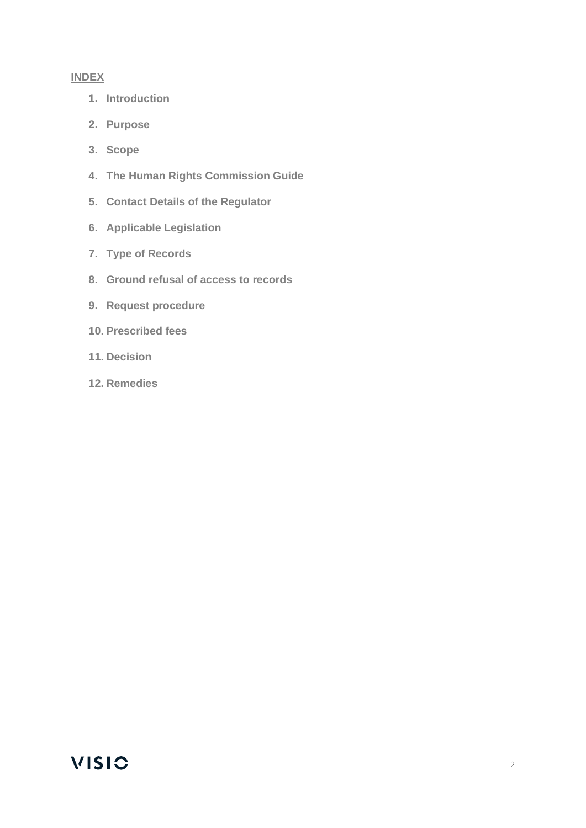#### **INDEX**

- **1. Introduction**
- **2. Purpose**
- **3. Scope**
- **4. The Human Rights Commission Guide**
- **5. Contact Details of the Regulator**
- **6. Applicable Legislation**
- **7. Type of Records**
- **8. Ground refusal of access to records**
- **9. Request procedure**
- **10. Prescribed fees**
- **11. Decision**
- **12. Remedies**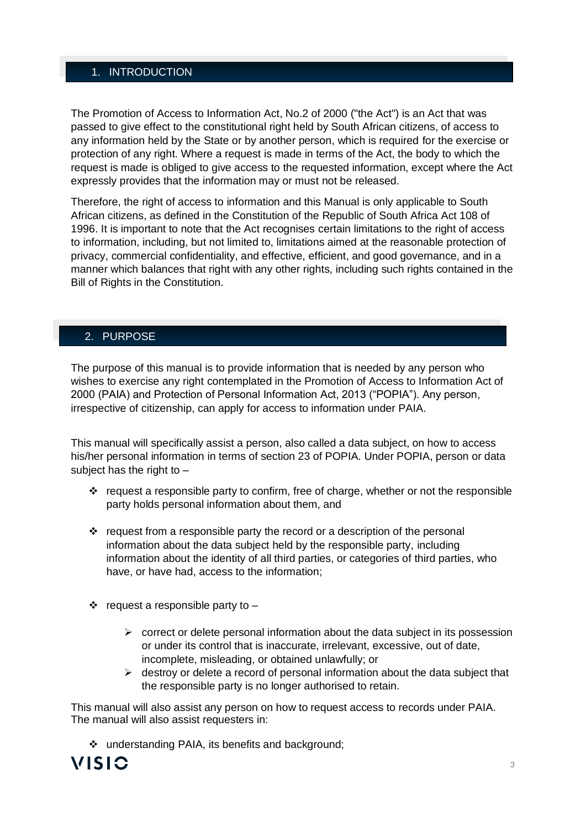#### 1. INTRODUCTION

The Promotion of Access to Information Act, No.2 of 2000 ("the Act") is an Act that was passed to give effect to the constitutional right held by South African citizens, of access to any information held by the State or by another person, which is required for the exercise or protection of any right. Where a request is made in terms of the Act, the body to which the request is made is obliged to give access to the requested information, except where the Act expressly provides that the information may or must not be released.

Therefore, the right of access to information and this Manual is only applicable to South African citizens, as defined in the Constitution of the Republic of South Africa Act 108 of 1996. It is important to note that the Act recognises certain limitations to the right of access to information, including, but not limited to, limitations aimed at the reasonable protection of privacy, commercial confidentiality, and effective, efficient, and good governance, and in a manner which balances that right with any other rights, including such rights contained in the Bill of Rights in the Constitution.

#### 2. PURPOSE

The purpose of this manual is to provide information that is needed by any person who wishes to exercise any right contemplated in the Promotion of Access to Information Act of 2000 (PAIA) and Protection of Personal Information Act, 2013 ("POPIA"). Any person, irrespective of citizenship, can apply for access to information under PAIA.

This manual will specifically assist a person, also called a data subject, on how to access his/her personal information in terms of section 23 of POPIA. Under POPIA, person or data subject has the right to –

- ❖ request a responsible party to confirm, free of charge, whether or not the responsible party holds personal information about them, and
- ❖ request from a responsible party the record or a description of the personal information about the data subject held by the responsible party, including information about the identity of all third parties, or categories of third parties, who have, or have had, access to the information;
- $\dots$  request a responsible party to
	- $\triangleright$  correct or delete personal information about the data subject in its possession or under its control that is inaccurate, irrelevant, excessive, out of date, incomplete, misleading, or obtained unlawfully; or
	- $\triangleright$  destroy or delete a record of personal information about the data subject that the responsible party is no longer authorised to retain.

This manual will also assist any person on how to request access to records under PAIA. The manual will also assist requesters in:

❖ understanding PAIA, its benefits and background;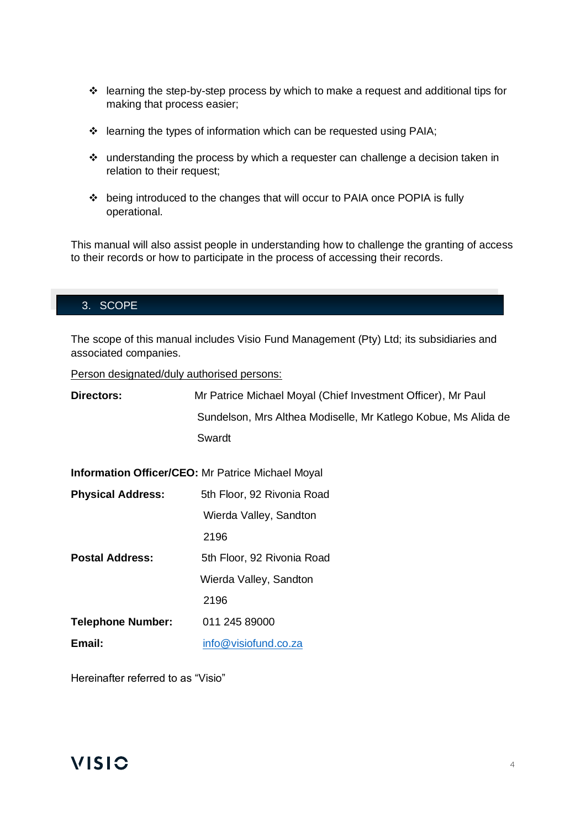- ❖ learning the step-by-step process by which to make a request and additional tips for making that process easier;
- ❖ learning the types of information which can be requested using PAIA;
- ❖ understanding the process by which a requester can challenge a decision taken in relation to their request:
- ❖ being introduced to the changes that will occur to PAIA once POPIA is fully operational.

This manual will also assist people in understanding how to challenge the granting of access to their records or how to participate in the process of accessing their records.

#### 3. SCOPE

The scope of this manual includes Visio Fund Management (Pty) Ltd; its subsidiaries and associated companies.

Person designated/duly authorised persons:

| Directors:               | Mr Patrice Michael Moyal (Chief Investment Officer), Mr Paul   |  |  |
|--------------------------|----------------------------------------------------------------|--|--|
|                          | Sundelson, Mrs Althea Modiselle, Mr Katlego Kobue, Ms Alida de |  |  |
|                          | Swardt                                                         |  |  |
|                          | <b>Information Officer/CEO:</b> Mr Patrice Michael Moyal       |  |  |
| <b>Physical Address:</b> | 5th Floor, 92 Rivonia Road                                     |  |  |
|                          | Wierda Valley, Sandton                                         |  |  |
|                          | 2196                                                           |  |  |
| <b>Postal Address:</b>   | 5th Floor, 92 Rivonia Road                                     |  |  |
|                          | Wierda Valley, Sandton                                         |  |  |
|                          | 2196                                                           |  |  |
| <b>Telephone Number:</b> | 011 245 89000                                                  |  |  |
| Email:                   | info@visiofund.co.za                                           |  |  |
|                          |                                                                |  |  |

Hereinafter referred to as "Visio"

#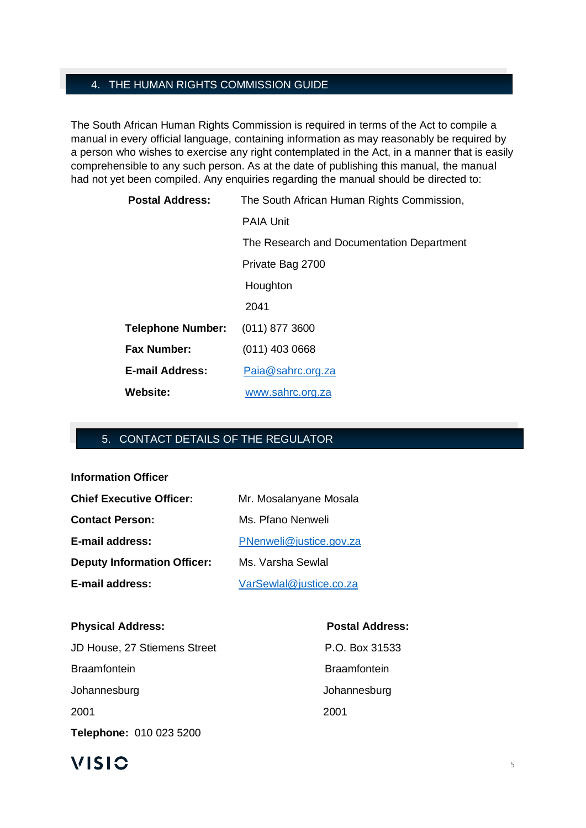#### 4. THE HUMAN RIGHTS COMMISSION GUIDE

The South African Human Rights Commission is required in terms of the Act to compile a manual in every official language, containing information as may reasonably be required by a person who wishes to exercise any right contemplated in the Act, in a manner that is easily comprehensible to any such person. As at the date of publishing this manual, the manual had not yet been compiled. Any enquiries regarding the manual should be directed to:

| <b>Postal Address:</b>   | The South African Human Rights Commission, |
|--------------------------|--------------------------------------------|
|                          | <b>PAIA Unit</b>                           |
|                          | The Research and Documentation Department  |
|                          | Private Bag 2700                           |
|                          | Houghton                                   |
|                          | 2041                                       |
| <b>Telephone Number:</b> | $(011)$ 877 3600                           |
| <b>Fax Number:</b>       | $(011)$ 403 0668                           |
| <b>E-mail Address:</b>   | Paia@sahrc.org.za                          |
| Website:                 | www.sahrc.org.za                           |

#### 5. CONTACT DETAILS OF THE REGULATOR

**Information Officer**

| <b>Chief Executive Officer:</b>    | Mr. Mosalanyane Mosala  |
|------------------------------------|-------------------------|
| <b>Contact Person:</b>             | Ms. Pfano Nenweli       |
| E-mail address:                    | PNenweli@justice.gov.za |
| <b>Deputy Information Officer:</b> | Ms. Varsha Sewlal       |
| E-mail address:                    | VarSewlal@justice.co.za |

# **Physical Address: Postal Address:** JD House, 27 Stiemens Street P.O. Box 31533 Braamfontein **Braamfontein** Johannesburg Johannesburg 2001 2001

# 

**Telephone:** 010 023 5200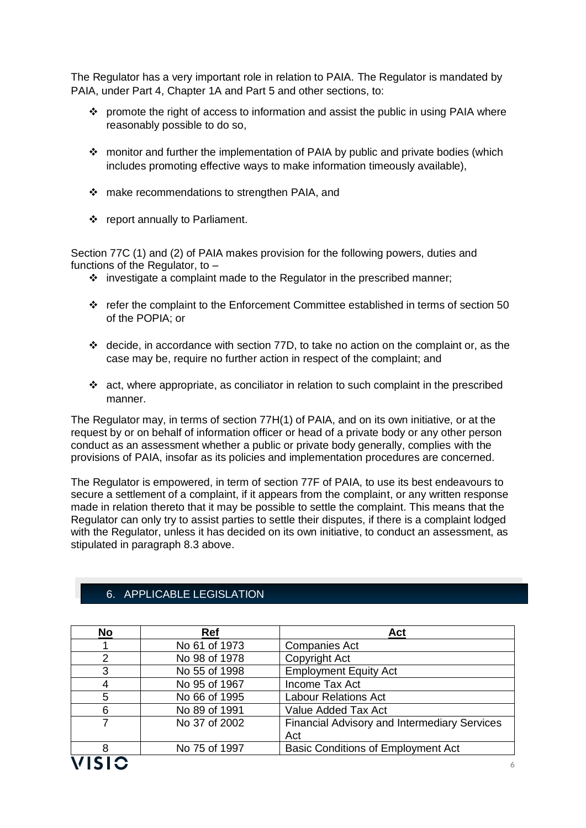The Regulator has a very important role in relation to PAIA. The Regulator is mandated by PAIA, under Part 4, Chapter 1A and Part 5 and other sections, to:

- ❖ promote the right of access to information and assist the public in using PAIA where reasonably possible to do so,
- ❖ monitor and further the implementation of PAIA by public and private bodies (which includes promoting effective ways to make information timeously available),
- ❖ make recommendations to strengthen PAIA, and
- ❖ report annually to Parliament.

Section 77C (1) and (2) of PAIA makes provision for the following powers, duties and functions of the Regulator, to –

- $\div$  investigate a complaint made to the Regulator in the prescribed manner;
- ❖ refer the complaint to the Enforcement Committee established in terms of section 50 of the POPIA; or
- ❖ decide, in accordance with section 77D, to take no action on the complaint or, as the case may be, require no further action in respect of the complaint; and
- $\div$  act, where appropriate, as conciliator in relation to such complaint in the prescribed manner.

The Regulator may, in terms of section 77H(1) of PAIA, and on its own initiative, or at the request by or on behalf of information officer or head of a private body or any other person conduct as an assessment whether a public or private body generally, complies with the provisions of PAIA, insofar as its policies and implementation procedures are concerned.

The Regulator is empowered, in term of section 77F of PAIA, to use its best endeavours to secure a settlement of a complaint, if it appears from the complaint, or any written response made in relation thereto that it may be possible to settle the complaint. This means that the Regulator can only try to assist parties to settle their disputes, if there is a complaint lodged with the Regulator, unless it has decided on its own initiative, to conduct an assessment, as stipulated in paragraph 8.3 above.

| No            | Ref           | Act                                          |
|---------------|---------------|----------------------------------------------|
|               | No 61 of 1973 | <b>Companies Act</b>                         |
| $\mathcal{P}$ | No 98 of 1978 | Copyright Act                                |
| 3             | No 55 of 1998 | <b>Employment Equity Act</b>                 |
|               | No 95 of 1967 | Income Tax Act                               |
| 5             | No 66 of 1995 | <b>Labour Relations Act</b>                  |
| 6             | No 89 of 1991 | Value Added Tax Act                          |
|               | No 37 of 2002 | Financial Advisory and Intermediary Services |
|               |               | Act                                          |
| 8             | No 75 of 1997 | <b>Basic Conditions of Employment Act</b>    |
| VISIC         |               | 6                                            |

#### 6. APPLICABLE LEGISLATION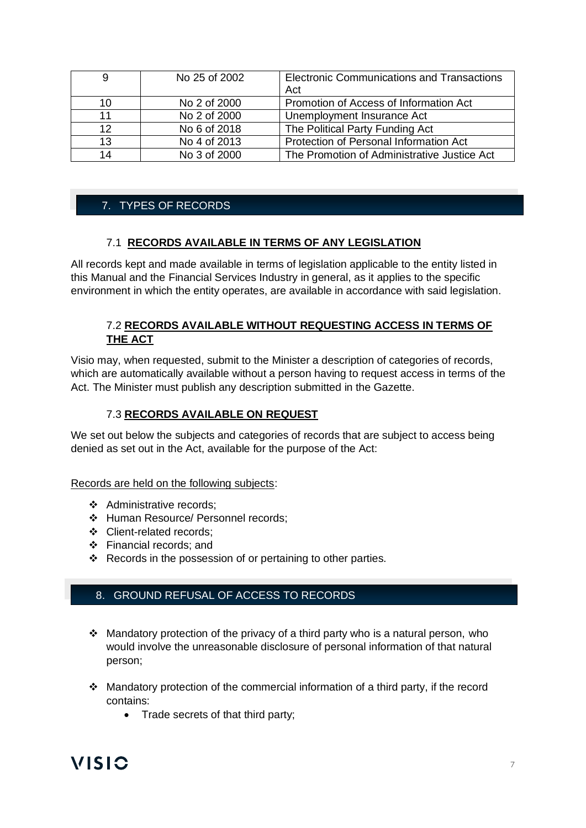|                   | No 25 of 2002 | <b>Electronic Communications and Transactions</b><br>Act |
|-------------------|---------------|----------------------------------------------------------|
| 10                | No 2 of 2000  | Promotion of Access of Information Act                   |
| 11                | No 2 of 2000  | Unemployment Insurance Act                               |
| $12 \overline{ }$ | No 6 of 2018  | The Political Party Funding Act                          |
| 13                | No 4 of 2013  | Protection of Personal Information Act                   |
| 14                | No 3 of 2000  | The Promotion of Administrative Justice Act              |

#### 7. TYPES OF RECORDS

#### 7.1 **RECORDS AVAILABLE IN TERMS OF ANY LEGISLATION**

All records kept and made available in terms of legislation applicable to the entity listed in this Manual and the Financial Services Industry in general, as it applies to the specific environment in which the entity operates, are available in accordance with said legislation.

#### 7.2 **RECORDS AVAILABLE WITHOUT REQUESTING ACCESS IN TERMS OF THE ACT**

Visio may, when requested, submit to the Minister a description of categories of records, which are automatically available without a person having to request access in terms of the Act. The Minister must publish any description submitted in the Gazette.

#### 7.3 **RECORDS AVAILABLE ON REQUEST**

We set out below the subjects and categories of records that are subject to access being denied as set out in the Act, available for the purpose of the Act:

Records are held on the following subjects:

- ❖ Administrative records;
- ❖ Human Resource/ Personnel records;
- ❖ Client-related records;
- ❖ Financial records; and
- ❖ Records in the possession of or pertaining to other parties.

#### 8. GROUND REFUSAL OF ACCESS TO RECORDS

- ❖ Mandatory protection of the privacy of a third party who is a natural person, who would involve the unreasonable disclosure of personal information of that natural person;
- ❖ Mandatory protection of the commercial information of a third party, if the record contains:
	- Trade secrets of that third party;

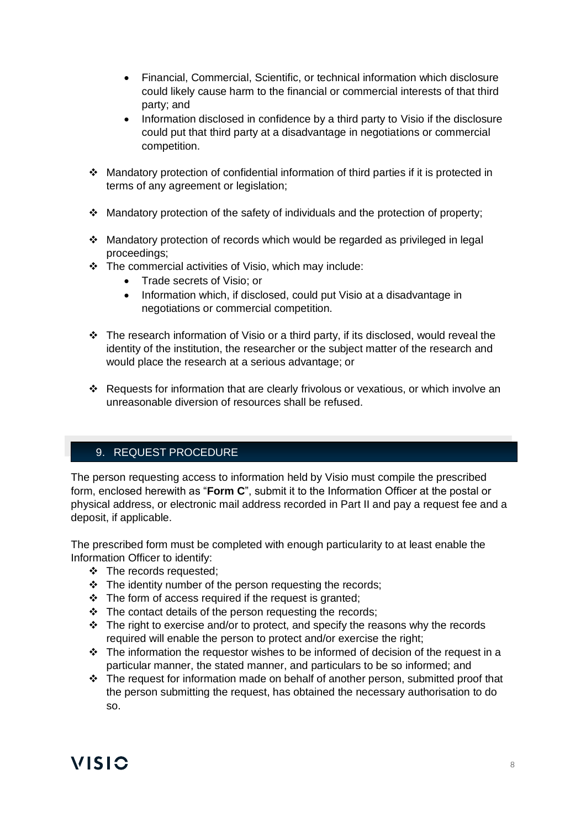- Financial, Commercial, Scientific, or technical information which disclosure could likely cause harm to the financial or commercial interests of that third party; and
- Information disclosed in confidence by a third party to Visio if the disclosure could put that third party at a disadvantage in negotiations or commercial competition.
- ❖ Mandatory protection of confidential information of third parties if it is protected in terms of any agreement or legislation;
- ❖ Mandatory protection of the safety of individuals and the protection of property;
- ❖ Mandatory protection of records which would be regarded as privileged in legal proceedings;
- ❖ The commercial activities of Visio, which may include:
	- Trade secrets of Visio; or
	- Information which, if disclosed, could put Visio at a disadvantage in negotiations or commercial competition.
- ❖ The research information of Visio or a third party, if its disclosed, would reveal the identity of the institution, the researcher or the subject matter of the research and would place the research at a serious advantage; or
- ❖ Requests for information that are clearly frivolous or vexatious, or which involve an unreasonable diversion of resources shall be refused.

#### 9. REQUEST PROCEDURE

The person requesting access to information held by Visio must compile the prescribed form, enclosed herewith as "**Form C**", submit it to the Information Officer at the postal or physical address, or electronic mail address recorded in Part II and pay a request fee and a deposit, if applicable.

The prescribed form must be completed with enough particularity to at least enable the Information Officer to identify:

- ❖ The records requested;
- ❖ The identity number of the person requesting the records;
- ❖ The form of access required if the request is granted;
- ❖ The contact details of the person requesting the records;
- ❖ The right to exercise and/or to protect, and specify the reasons why the records required will enable the person to protect and/or exercise the right;
- ❖ The information the requestor wishes to be informed of decision of the request in a particular manner, the stated manner, and particulars to be so informed; and
- ❖ The request for information made on behalf of another person, submitted proof that the person submitting the request, has obtained the necessary authorisation to do so.

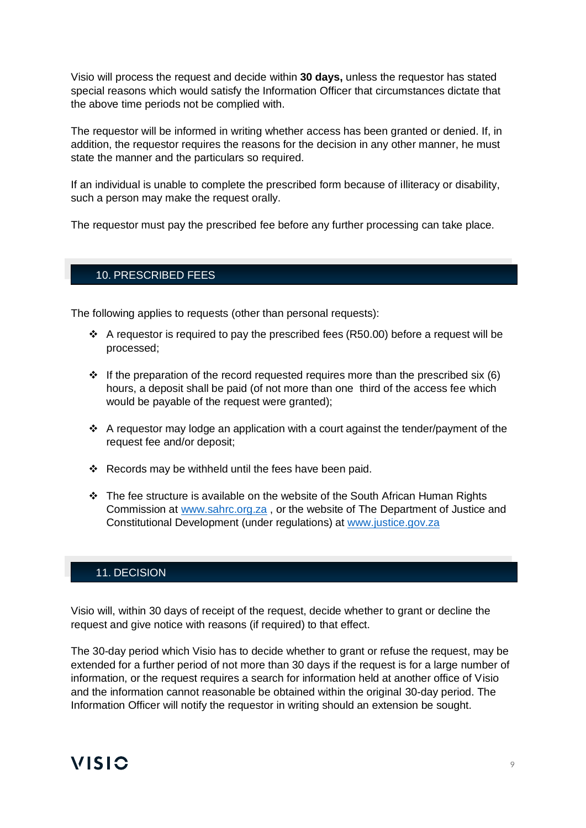Visio will process the request and decide within **30 days,** unless the requestor has stated special reasons which would satisfy the Information Officer that circumstances dictate that the above time periods not be complied with.

The requestor will be informed in writing whether access has been granted or denied. If, in addition, the requestor requires the reasons for the decision in any other manner, he must state the manner and the particulars so required.

If an individual is unable to complete the prescribed form because of illiteracy or disability, such a person may make the request orally.

The requestor must pay the prescribed fee before any further processing can take place.

#### 10. PRESCRIBED FEES

The following applies to requests (other than personal requests):

- ❖ A requestor is required to pay the prescribed fees (R50.00) before a request will be processed;
- $\div$  If the preparation of the record requested requires more than the prescribed six (6) hours, a deposit shall be paid (of not more than one third of the access fee which would be payable of the request were granted);
- ❖ A requestor may lodge an application with a court against the tender/payment of the request fee and/or deposit;
- ❖ Records may be withheld until the fees have been paid.
- $\div$  The fee structure is available on the website of the South African Human Rights Commission at [www.sahrc.org.za](http://www.sahrc.org.za/) , or the website of The Department of Justice and Constitutional Development (under regulations) at [www.justice.gov.za](http://www.justice.gov.za/)

#### 11. DECISION

Visio will, within 30 days of receipt of the request, decide whether to grant or decline the request and give notice with reasons (if required) to that effect.

The 30-day period which Visio has to decide whether to grant or refuse the request, may be extended for a further period of not more than 30 days if the request is for a large number of information, or the request requires a search for information held at another office of Visio and the information cannot reasonable be obtained within the original 30-day period. The Information Officer will notify the requestor in writing should an extension be sought.

#